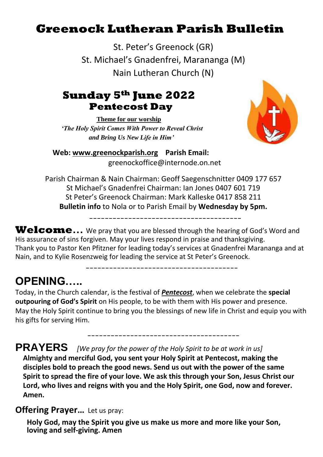# **Greenock Lutheran Parish Bulletin**

St. Peter's Greenock (GR) St. Michael's Gnadenfrei, Marananga (M) Nain Lutheran Church (N)

## **Sunday 5th June 2022 Pentecost Day**

**Theme for our worship** *'The Holy Spirit Comes With Power to Reveal Christ and Bring Us New Life in Him'*



**Web: [www.greenockparish.org](http://www.greenockparish.org/) Parish Email:** greenockoffice@internode.on.net

Parish Chairman & Nain Chairman: Geoff Saegenschnitter 0409 177 657 St Michael's Gnadenfrei Chairman: Ian Jones 0407 601 719 St Peter's Greenock Chairman: Mark Kalleske 0417 858 211 **Bulletin info** to Nola or to Parish Email by **Wednesday by 5pm.**

---------------------------------------

**Welcome…** We pray that you are blessed through the hearing of God's Word and His assurance of sins forgiven. May your lives respond in praise and thanksgiving. Thank you to Pastor Ken Pfitzner for leading today's services at Gnadenfrei Marananga and at Nain, and to Kylie Rosenzweig for leading the service at St Peter's Greenock.

 $-$ 

## **OPENING…..**

Today, in the Church calendar, is the festival of *Pentecost*, when we celebrate the **special outpouring of God's Spirit** on His people, to be with them with His power and presence. May the Holy Spirit continue to bring you the blessings of new life in Christ and equip you with his gifts for serving Him.

---------------------------------------

## **PRAYERS** *[We pray for the power of the Holy Spirit to be at work in us]*

**Almighty and merciful God, you sent your Holy Spirit at Pentecost, making the disciples bold to preach the good news. Send us out with the power of the same Spirit to spread the fire of your love. We ask this through your Son, Jesus Christ our Lord, who lives and reigns with you and the Holy Spirit, one God, now and forever. Amen.**

### **Offering Prayer...** Let us pray:

**Holy God, may the Spirit you give us make us more and more like your Son, loving and self-giving. Amen**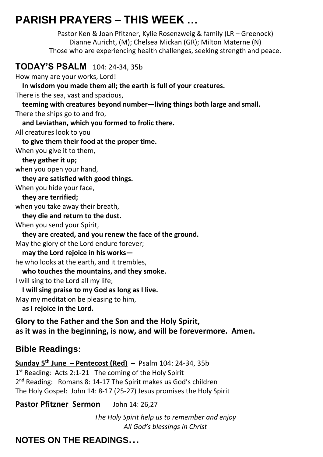# **PARISH PRAYERS – THIS WEEK …**

Pastor Ken & Joan Pfitzner, Kylie Rosenzweig & family (LR – Greenock) Dianne Auricht, (M); Chelsea Mickan (GR); Milton Materne (N) Those who are experiencing health challenges, seeking strength and peace.

### **TODAY'S PSALM** 104: 24-34, 35b

How many are your works, Lord!

 **In wisdom you made them all; the earth is full of your creatures.**

There is the sea, vast and spacious,

 **teeming with creatures beyond number—living things both large and small.**

There the ships go to and fro,

 **and Leviathan, which you formed to frolic there.**

All creatures look to you

 **to give them their food at the proper time.**

When you give it to them,

 **they gather it up;**

when you open your hand,

 **they are satisfied with good things.**

When you hide your face,

 **they are terrified;**

when you take away their breath,

 **they die and return to the dust.**

When you send your Spirit,

 **they are created, and you renew the face of the ground.**

May the glory of the Lord endure forever;

 **may the Lord rejoice in his works—**

he who looks at the earth, and it trembles,

 **who touches the mountains, and they smoke.**

I will sing to the Lord all my life;

 **I will sing praise to my God as long as I live.**

May my meditation be pleasing to him,

 **as I rejoice in the Lord.**

**Glory to the Father and the Son and the Holy Spirit, as it was in the beginning, is now, and will be forevermore. Amen.**

### **Bible Readings:**

**Sunday 5 th June – Pentecost (Red) –** Psalm 104: 24-34, 35b 1<sup>st</sup> Reading: Acts 2:1-21 The coming of the Holy Spirit 2<sup>nd</sup> Reading: Romans 8: 14-17 The Spirit makes us God's children The Holy Gospel: John 14: 8-17 (25-27) Jesus promises the Holy Spirit

Pastor Pfitzner Sermon John 14: 26,27

*The Holy Spirit help us to remember and enjoy All God's blessings in Christ*

### **NOTES ON THE READINGS…**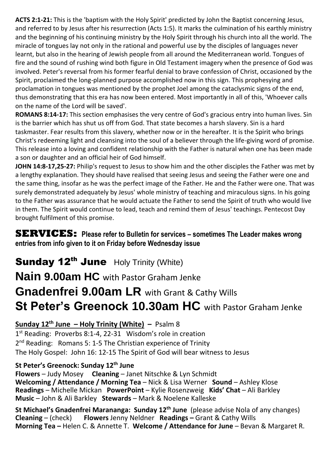**ACTS 2:1-21:** This is the 'baptism with the Holy Spirit' predicted by John the Baptist concerning Jesus, and referred to by Jesus after his resurrection (Acts 1:5). It marks the culmination of his earthly ministry and the beginning of his continuing ministry by the Holy Spirit through his church into all the world. The miracle of tongues lay not only in the rational and powerful use by the disciples of languages never learnt, but also in the hearing of Jewish people from all around the Mediterranean world. Tongues of fire and the sound of rushing wind both figure in Old Testament imagery when the presence of God was involved. Peter's reversal from his former fearful denial to brave confession of Christ, occasioned by the Spirit, proclaimed the long-planned purpose accomplished now in this sign. This prophesying and proclamation in tongues was mentioned by the prophet Joel among the cataclysmic signs of the end, thus demonstrating that this era has now been entered. Most importantly in all of this, 'Whoever calls on the name of the Lord will be saved'.

**ROMANS 8:14-17:** This section emphasises the very centre of God's gracious entry into human lives. Sin is the barrier which has shut us off from God. That state becomes a harsh slavery. Sin is a hard taskmaster. Fear results from this slavery, whether now or in the hereafter. It is the Spirit who brings Christ's redeeming light and cleansing into the soul of a believer through the life-giving word of promise. This release into a loving and confident relationship with the Father is natural when one has been made a son or daughter and an official heir of God himself.

**JOHN 14:8-17,25-27:** Philip's request to Jesus to show him and the other disciples the Father was met by a lengthy explanation. They should have realised that seeing Jesus and seeing the Father were one and the same thing, insofar as he was the perfect image of the Father. He and the Father were one. That was surely demonstrated adequately by Jesus' whole ministry of teaching and miraculous signs. In his going to the Father was assurance that he would actuate the Father to send the Spirit of truth who would live in them. The Spirit would continue to lead, teach and remind them of Jesus' teachings. Pentecost Day brought fulfilment of this promise.

#### **SERVICES:** Please refer to Bulletin for services – sometimes The Leader makes wrong **entries from info given to it on Friday before Wednesday issue**

# **Sunday 12<sup>th</sup> June** Holy Trinity (White) **Nain 9.00am HC** with Pastor Graham Jenke **Gnadenfrei 9.00am LR** with Grant & Cathy Wills **St Peter's Greenock 10.30am HC** with Pastor Graham Jenke

**Sunday 12th June – Holy Trinity (White) –** Psalm 8 1<sup>st</sup> Reading: Proverbs 8:1-4, 22-31 Wisdom's role in creation 2<sup>nd</sup> Reading: Romans 5: 1-5 The Christian experience of Trinity The Holy Gospel: John 16: 12-15 The Spirit of God will bear witness to Jesus

#### **St Peter's Greenock: Sunday 12th June**

**Flowers** – Judy Mosey **Cleaning** – Janet Nitschke & Lyn Schmidt **Welcoming / Attendance / Morning Tea** – Nick & Lisa Werner **Sound** – Ashley Klose **Readings** – Michelle Mickan **PowerPoint** – Kylie Rosenzweig **Kids' Chat** – Ali Barkley **Music** – John & Ali Barkley **Stewards** – Mark & Noelene Kalleske

**St Michael's Gnadenfrei Marananga: Sunday 12th June** (please advise Nola of any changes) **Cleaning** – (check) **Flowers** Jenny Neldner **Readings –** Grant & Cathy Wills **Morning Tea –** Helen C. & Annette T. **Welcome / Attendance for June** – Bevan & Margaret R.